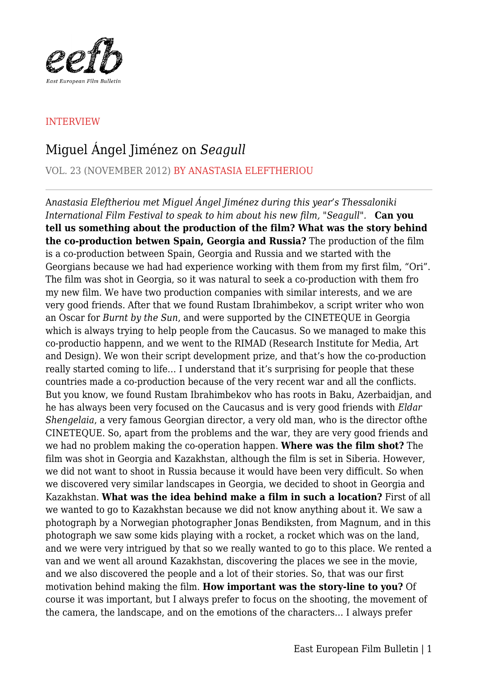

## INTERVIEW

## Miguel Ángel Jiménez on *Seagull*

VOL. 23 (NOVEMBER 2012) BY ANASTASIA ELEFTHERIOU

A*nastasia Eleftheriou met Miguel Ángel Jiménez during this year's Thessaloniki International Film Festival to speak to him about his new film, "Seagull".* **Can you tell us something about the production of the film? What was the story behind the co-production betwen Spain, Georgia and Russia?** The production of the film is a co-production between Spain, Georgia and Russia and we started with the Georgians because we had had experience working with them from my first film, "Ori". The film was shot in Georgia, so it was natural to seek a co-production with them fro my new film. We have two production companies with similar interests, and we are very good friends. After that we found Rustam Ibrahimbekov, a script writer who won an Oscar for *Burnt by the Sun*, and were supported by the CINETEQUE in Georgia which is always trying to help people from the Caucasus. So we managed to make this co-productio happenn, and we went to the RIMAD (Research Institute for Media, Art and Design). We won their script development prize, and that's how the co-production really started coming to life… I understand that it's surprising for people that these countries made a co-production because of the very recent war and all the conflicts. But you know, we found Rustam Ibrahimbekov who has roots in Baku, Azerbaidjan, and he has always been very focused on the Caucasus and is very good friends with *Eldar Shengelaia*, a very famous Georgian director, a very old man, who is the director ofthe CINETEQUE. So, apart from the problems and the war, they are very good friends and we had no problem making the co-operation happen. **Where was the film shot?** The film was shot in Georgia and Kazakhstan, although the film is set in Siberia. However, we did not want to shoot in Russia because it would have been very difficult. So when we discovered very similar landscapes in Georgia, we decided to shoot in Georgia and Kazakhstan. **What was the idea behind make a film in such a location?** First of all we wanted to go to Kazakhstan because we did not know anything about it. We saw a photograph by a Norwegian photographer Jonas Bendiksten, from Magnum, and in this photograph we saw some kids playing with a rocket, a rocket which was on the land, and we were very intrigued by that so we really wanted to go to this place. We rented a van and we went all around Kazakhstan, discovering the places we see in the movie, and we also discovered the people and a lot of their stories. So, that was our first motivation behind making the film. **How important was the story-line to you?** Of course it was important, but I always prefer to focus on the shooting, the movement of the camera, the landscape, and on the emotions of the characters… I always prefer